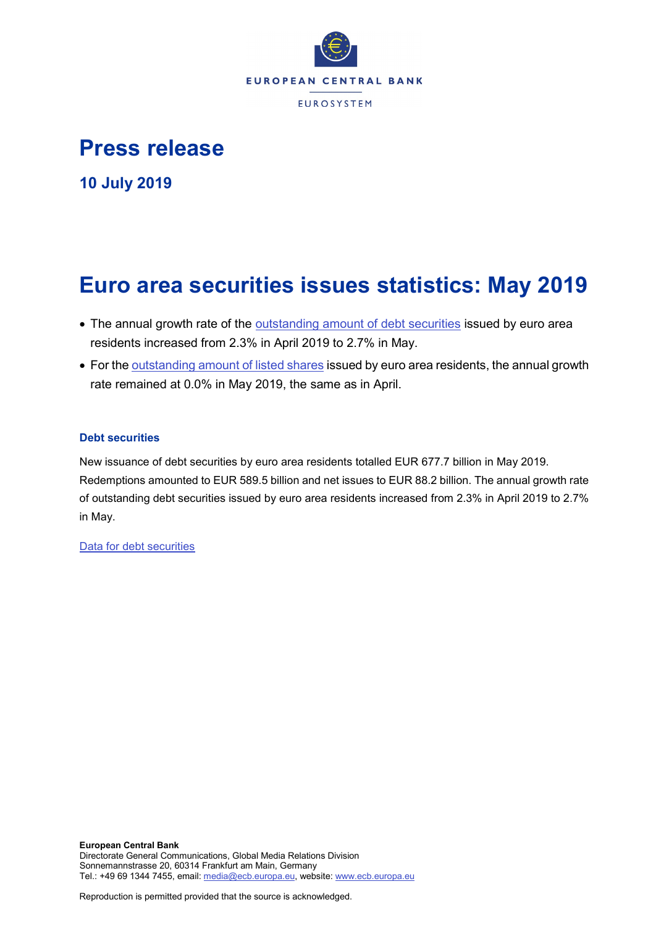

# **Press release**

**10 July 2019**

# **Euro area securities issues statistics: May 2019**

- The annual growth rate of the **outstanding amount of debt securities** issued by euro area residents increased from 2.3% in April 2019 to 2.7% in May.
- For the [outstanding amount of listed shares](http://sdw.ecb.europa.eu/quickview.do?SERIES_KEY=130.SEC.M.I8.1000.F51100.M.I.Z01.A.Z) issued by euro area residents, the annual growth rate remained at 0.0% in May 2019, the same as in April.

# **Debt securities**

New issuance of debt securities by euro area residents totalled EUR 677.7 billion in May 2019. Redemptions amounted to EUR 589.5 billion and net issues to EUR 88.2 billion. The annual growth rate of outstanding debt securities issued by euro area residents increased from 2.3% in April 2019 to 2.7% in May.

[Data for debt securities](http://sdw.ecb.europa.eu/browseSelection.do?type=series&q=SEC.M.I8.1000.F33000.N.2.Z01.E.Z%2c+SEC.M.I8.1000.F33000.N.3.Z01.E.Z%2c+SEC.M.I8.1000.F33000.N.4.Z01.E.Z%2c+SEC.M.I8.1000.F33000.N.I.Z01.A.Z&node=SEARCHRESULTS&ec=&oc=&rc=&cv=&pb=&dc=&df=)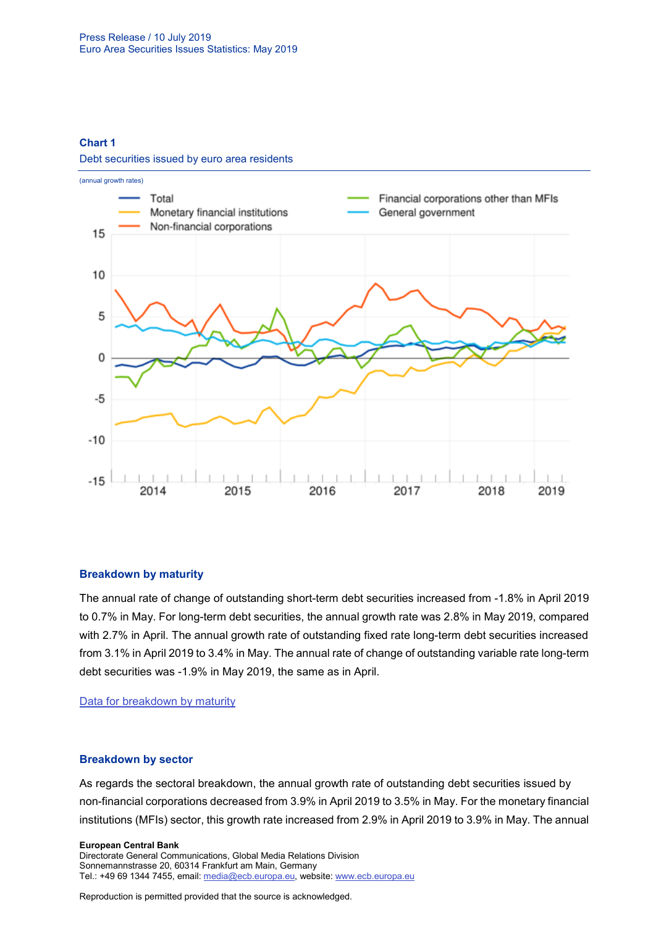**Chart 1**

Debt securities issued by euro area residents



#### **Breakdown by maturity**

The annual rate of change of outstanding short-term debt securities increased from -1.8% in April 2019 to 0.7% in May. For long-term debt securities, the annual growth rate was 2.8% in May 2019, compared with 2.7% in April. The annual growth rate of outstanding fixed rate long-term debt securities increased from 3.1% in April 2019 to 3.4% in May. The annual rate of change of outstanding variable rate long-term debt securities was -1.9% in May 2019, the same as in April.

[Data for breakdown by maturity](http://sdw.ecb.europa.eu/browseSelection.do?type=series&q=SEC.M.I8.1000.F33100.N.I.Z01.A.Z%2c+SEC.M.I8.1000.F33200.N.I.Z01.A.Z%2c+SEC.M.I8.1000.F33201.N.I.Z01.A.Z%2c+SEC.M.I8.1000.F33202.N.I.Z01.A.Z&node=SEARCHRESULTS&ec=&oc=&rc=&cv=&pb=&dc=&df=)

#### **Breakdown by sector**

As regards the sectoral breakdown, the annual growth rate of outstanding debt securities issued by non-financial corporations decreased from 3.9% in April 2019 to 3.5% in May. For the monetary financial institutions (MFIs) sector, this growth rate increased from 2.9% in April 2019 to 3.9% in May. The annual

#### **European Central Bank**

Directorate General Communications, Global Media Relations Division Sonnemannstrasse 20, 60314 Frankfurt am Main, Germany Tel.: +49 69 1344 7455, email[: media@ecb.europa.eu,](mailto:media@ecb.europa.eu) website: www.ecb.europa.eu

Reproduction is permitted provided that the source is acknowledged.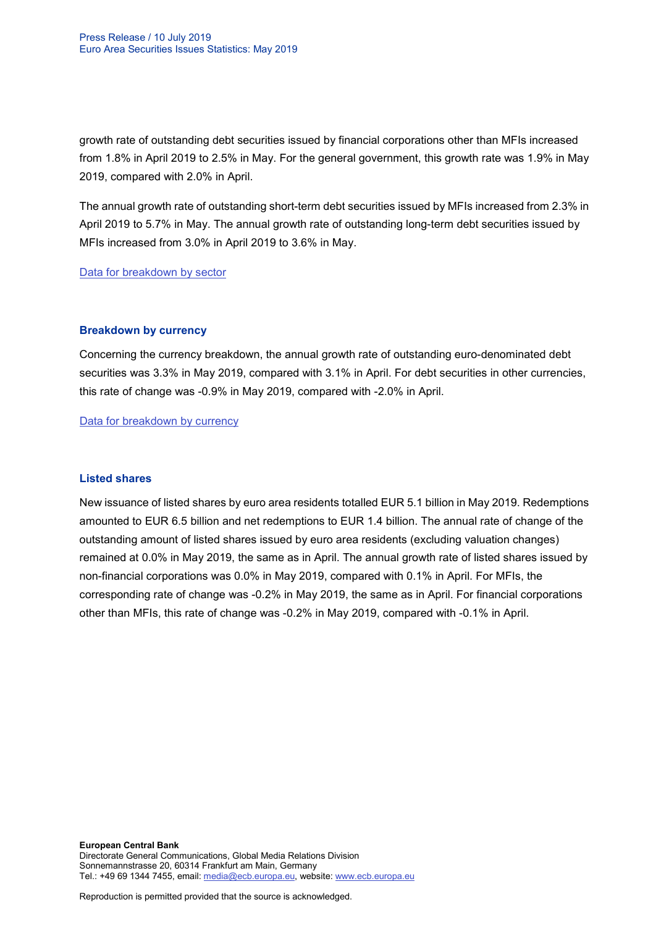growth rate of outstanding debt securities issued by financial corporations other than MFIs increased from 1.8% in April 2019 to 2.5% in May. For the general government, this growth rate was 1.9% in May 2019, compared with 2.0% in April.

The annual growth rate of outstanding short-term debt securities issued by MFIs increased from 2.3% in April 2019 to 5.7% in May. The annual growth rate of outstanding long-term debt securities issued by MFIs increased from 3.0% in April 2019 to 3.6% in May.

[Data for breakdown by sector](http://sdw.ecb.europa.eu/browseSelection.do?type=series&q=SEC.M.I8.1100.F33000.N.I.Z01.A.Z%2cSEC.M.I8.1220.F33000.N.I.Z01.A.Z%2cSEC.M.I8.1235.F33000.N.I.Z01.A.Z%2cSEC.M.I8.1300.F33000.N.I.Z01.A.Z%2cSEC.M.I8.1220.F33100.N.I.Z01.A.Z%2cSEC.M.I8.1220.F33200.N.I.Z01.A.Z&node=SEARCHRESULTS&ec=&oc=&rc=&cv=&pb=&dc=&df=)

#### **Breakdown by currency**

Concerning the currency breakdown, the annual growth rate of outstanding euro-denominated debt securities was 3.3% in May 2019, compared with 3.1% in April. For debt securities in other currencies, this rate of change was -0.9% in May 2019, compared with -2.0% in April.

[Data for breakdown by currency](http://sdw.ecb.europa.eu/browseSelection.do?type=series&q=SEC.M.I8.1000.F33000.N.I.EUR.A.Z%2cSEC.M.I8.1000.F33000.N.I.Z06.A.Z&node=SEARCHRESULTS&ec=&oc=&rc=&cv=&pb=&dc=&df=)

#### **Listed shares**

New issuance of listed shares by euro area residents totalled EUR 5.1 billion in May 2019. Redemptions amounted to EUR 6.5 billion and net redemptions to EUR 1.4 billion. The annual rate of change of the outstanding amount of listed shares issued by euro area residents (excluding valuation changes) remained at 0.0% in May 2019, the same as in April. The annual growth rate of listed shares issued by non-financial corporations was 0.0% in May 2019, compared with 0.1% in April. For MFIs, the corresponding rate of change was -0.2% in May 2019, the same as in April. For financial corporations other than MFIs, this rate of change was -0.2% in May 2019, compared with -0.1% in April.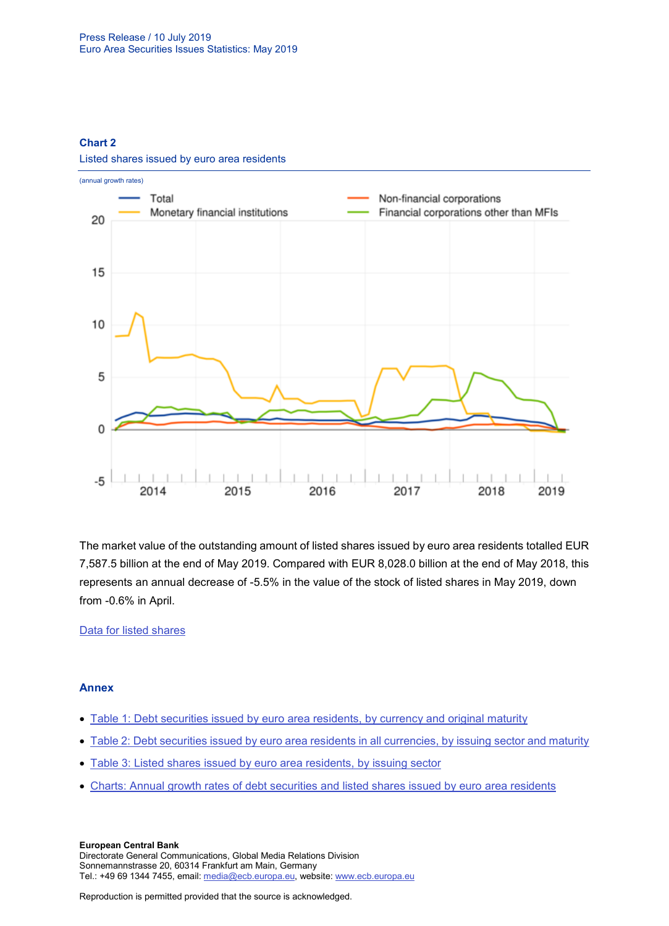#### **Chart 2**



Listed shares issued by euro area residents

The market value of the outstanding amount of listed shares issued by euro area residents totalled EUR 7,587.5 billion at the end of May 2019. Compared with EUR 8,028.0 billion at the end of May 2018, this represents an annual decrease of -5.5% in the value of the stock of listed shares in May 2019, down from -0.6% in April.

## [Data for listed shares](http://sdw.ecb.europa.eu/browseSelection.do?type=series&q=SEC.M.I8.1000.F51100.M.2.Z01.E.Z%2cSEC.M.I8.1000.F51100.M.3.Z01.E.Z%2cSEC.M.I8.1000.F51100.M.4.Z01.E.Z%2cSEC.M.I8.1000.F51100.M.I.Z01.A.Z%2cSEC.M.I8.1100.F51100.M.I.Z01.A.Z%2cSEC.M.I8.1220.F51100.M.I.Z01.A.Z%2cSEC.M.I8.1235.F51100.M.I.Z01.A.Z%2cSEC.M.I8.1000.F51100.M.1.Z01.E.Z&node=SEARCHRESULTS&ec=&oc=&rc=&cv=&pb=&dc=&df=)

## **Annex**

- [Table 1: Debt securities issued by euro area residents, by currency and original maturity](http://sdw.ecb.europa.eu/web/generator/prl/pr_sec_t01_201905.pdf)
- [Table 2: Debt securities issued by euro area residents in all currencies, by issuing sector and maturity](http://sdw.ecb.europa.eu/web/generator/prl/pr_sec_t02_201905.pdf)
- [Table 3: Listed shares issued by euro area residents, by issuing sector](http://sdw.ecb.europa.eu/web/generator/prl/pr_sec_t03_201905.pdf)
- [Charts: Annual growth rates of debt securities and listed shares issued by euro area residents](http://sdw.ecb.europa.eu/web/generator/prl/pr_sec_c01_201905.pdf)

**European Central Bank** Directorate General Communications, Global Media Relations Division Sonnemannstrasse 20, 60314 Frankfurt am Main, Germany Tel.: +49 69 1344 7455, email[: media@ecb.europa.eu,](mailto:media@ecb.europa.eu) website: www.ecb.europa.eu

Reproduction is permitted provided that the source is acknowledged.